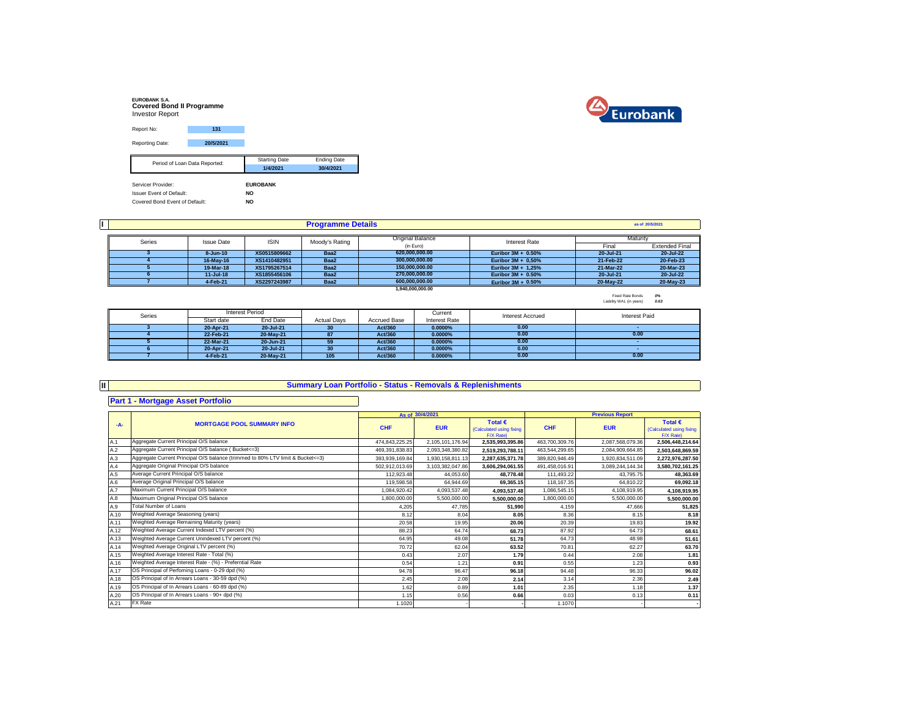| <b>EUROBANK S.A.</b><br><b>Covered Bond II Programme</b><br><b>Investor Report</b> |           |                      |                    |
|------------------------------------------------------------------------------------|-----------|----------------------|--------------------|
| Report No:                                                                         | 131       |                      |                    |
| Reporting Date:                                                                    | 20/5/2021 |                      |                    |
| Period of Loan Data Reported:                                                      |           | <b>Starting Date</b> | <b>Ending Date</b> |
|                                                                                    |           | 1/4/2021             | 30/4/2021          |
| Servicer Provider:                                                                 |           | <b>EUROBANK</b>      |                    |
|                                                                                    |           |                      |                    |
| <b>Issuer Event of Default:</b>                                                    |           | <b>NO</b>            |                    |
| Covered Bond Event of Default:                                                     |           | <b>NO</b>            |                    |



|        |                   |              |                | as of 20/5/2021  |                       |           |                       |
|--------|-------------------|--------------|----------------|------------------|-----------------------|-----------|-----------------------|
| Series |                   |              |                | Original Balance |                       | Maturity  |                       |
|        | <b>Issue Date</b> | <b>ISIN</b>  | Moody's Rating | (in Euro)        | Interest Rate         | Final     | <b>Extended Final</b> |
|        | $8 - Jun-10$      | XS0515809662 | Baa2           | 620.000.000.00   | Euribor $3M + 0.50\%$ | 20-Jul-21 | 20-Jul-22             |
|        | 16-May-16         | XS1410482951 | Baa2           | 300.000.000.00   | Euribor $3M + 0.50\%$ | 21-Feb-22 | 20-Feb-23             |
|        | 19-Mar-18         | XS1795267514 | Baa2           | 150.000.000.00   | Euribor 3M + 1.25%    | 21-Mar-22 | 20-Mar-23             |
|        | $11 -$ Jul-18     | XS1855456106 | Baa2           | 270.000.000.00   | Euribor $3M + 0.50\%$ | 20-Jul-21 | 20-Jul-22             |
|        | 4-Feb-21          | XS2297243987 | Baa2           | 600.000.000.00   | Euribor $3M + 0.50\%$ | 20-May-22 | 20-May-23             |
|        |                   |              |                | 1.940.000.000.00 |                       |           |                       |

Fixed Rate Bonds *0%* Liability WAL (in years) *0.63*

| Series | <b>Interest Period</b> |           |                    |                     |               | <b>Interest Accrued</b> | <b>Interest Paid</b> |
|--------|------------------------|-----------|--------------------|---------------------|---------------|-------------------------|----------------------|
|        | Start date             | End Date  | <b>Actual Davs</b> | <b>Accrued Base</b> | Interest Rate |                         |                      |
|        | 20-Apr-21              | 20-Jul-21 | 30                 | Act/360             | 0.0000%       | 0.00                    |                      |
|        | 22-Feb-21              | 20-May-21 | 87                 | Act/360             | $0.0000\%$    | 0.00                    | 0.00                 |
|        | 22-Mar-21              | 20-Jun-21 | 59                 | Act/360             | 0.0000%       | 0.00                    |                      |
|        | 20-Apr-21              | 20-Jul-21 | 30                 | Act/360             | 0.0000%       | 0.00                    |                      |
|        | 4-Feb-21               | 20-May-21 | 105                | Act/360             | $0.0000\%$    | 0.00                    | 0.00                 |

| Щ     | <b>Summary Loan Portfolio - Status - Removals &amp; Replenishments</b>           |                |                  |                                                           |                |                        |                                                           |
|-------|----------------------------------------------------------------------------------|----------------|------------------|-----------------------------------------------------------|----------------|------------------------|-----------------------------------------------------------|
|       |                                                                                  |                |                  |                                                           |                |                        |                                                           |
|       | <b>Part 1 - Mortgage Asset Portfolio</b>                                         |                |                  |                                                           |                |                        |                                                           |
|       |                                                                                  |                | As of 30/4/2021  |                                                           |                | <b>Previous Report</b> |                                                           |
| $-A-$ | <b>MORTGAGE POOL SUMMARY INFO</b>                                                | <b>CHF</b>     | <b>EUR</b>       | Total $\epsilon$<br>(Calculated using fixing<br>F/X Rate) | <b>CHF</b>     | <b>EUR</b>             | Total $\epsilon$<br>(Calculated using fixing<br>F/X Rate) |
| A.1   | Aggregate Current Principal O/S balance                                          | 474,843,225.25 | 2,105,101,176.94 | 2,535,993,395.86                                          | 463.700.309.76 | 2,087,568,079.36       | 2,506,448,214.64                                          |
| A.2   | Aggregate Current Principal O/S balance (Bucket<=3)                              | 469.391.838.83 | 2,093,348,380.82 | 2,519,293,788.11                                          | 463.544.299.65 | 2.084.909.664.85       | 2,503,648,869.59                                          |
| A.3   | Aggregate Current Principal O/S balance (trimmed to 80% LTV limit & Bucket <= 3) | 393.939.169.84 | 1,930,158,811.13 | 2.287.635.371.78                                          | 389.820.946.49 | 1.920.834.511.09       | 2.272.976.287.50                                          |
| A.4   | Aggregate Original Principal O/S balance                                         | 502.912.013.69 | 3,103,382,047.86 | 3.606.294.061.55                                          | 491.458.016.91 | 3.089.244.144.34       | 3,580,702,161.25                                          |
| A.5   | Average Current Principal O/S balance                                            | 112.923.48     | 44.053.60        | 48.778.48                                                 | 111.493.22     | 43.795.75              | 48.363.69                                                 |
| A.6   | Average Original Principal O/S balance                                           | 119,598.58     | 64.944.69        | 69.365.15                                                 | 118.167.35     | 64.810.22              | 69,092.18                                                 |
| A.7   | Maximum Current Principal O/S balance                                            | 1.084.920.42   | 4,093,537.48     | 4.093.537.48                                              | 1.086.545.15   | 4.108.919.95           | 4,108,919.95                                              |
| A.8   | Maximum Original Principal O/S balance                                           | 1.800.000.00   | 5,500,000.00     | 5.500.000.00                                              | 1.800.000.00   | 5.500.000.00           | 5,500,000.00                                              |
| A.9   | <b>Total Number of Loans</b>                                                     | 4,205          | 47,785           | 51,990                                                    | 4,159          | 47,666                 | 51,825                                                    |
| A.10  | Weighted Average Seasoning (years)                                               | 8.12           | 8.04             | 8.05                                                      | 8.36           | 8.15                   | 8.18                                                      |
| A.11  | Weighted Average Remaining Maturity (years)                                      | 20.58          | 19.95            | 20.06                                                     | 20.39          | 19.83                  | 19.92                                                     |
| A.12  | Weighted Average Current Indexed LTV percent (%)                                 | 88.23          | 64.74            | 68.73                                                     | 87.92          | 64.73                  | 68.61                                                     |
| A.13  | Weighted Average Current Unindexed LTV percent (%)                               | 64.95          | 49.08            | 51.78                                                     | 64.73          | 48.98                  | 51.61                                                     |
| A.14  | Weighted Average Original LTV percent (%)                                        | 70.72          | 62.04            | 63.52                                                     | 70.81          | 62.27                  | 63.70                                                     |
| A.15  | Weighted Average Interest Rate - Total (%)                                       | 0.43           | 2.07             | 1.79                                                      | 0.44           | 2.08                   | 1.81                                                      |
| A.16  | Weighted Average Interest Rate - (%) - Preferntial Rate                          | 0.54           | 1.21             | 0.91                                                      | 0.55           | 1.23                   | 0.93                                                      |
| A.17  | OS Principal of Perfoming Loans - 0-29 dpd (%)                                   | 94.78          | 96.47            | 96.18                                                     | 94.48          | 96.33                  | 96.02                                                     |
| A.18  | OS Principal of In Arrears Loans - 30-59 dpd (%)                                 | 2.45           | 2.08             | 2.14                                                      | 3.14           | 2.36                   | 2.49                                                      |
| A.19  | OS Principal of In Arrears Loans - 60-89 dpd (%)                                 | 1.62           | 0.89             | 1.01                                                      | 2.35           | 1.18                   | 1.37                                                      |
| A.20  | OS Principal of In Arrears Loans - 90+ dpd (%)                                   | 1.15           | 0.56             | 0.66                                                      | 0.03           | 0.13                   | 0.11                                                      |
| A.21  | <b>FX</b> Rate                                                                   | 1.1020         |                  |                                                           | 1.1070         |                        |                                                           |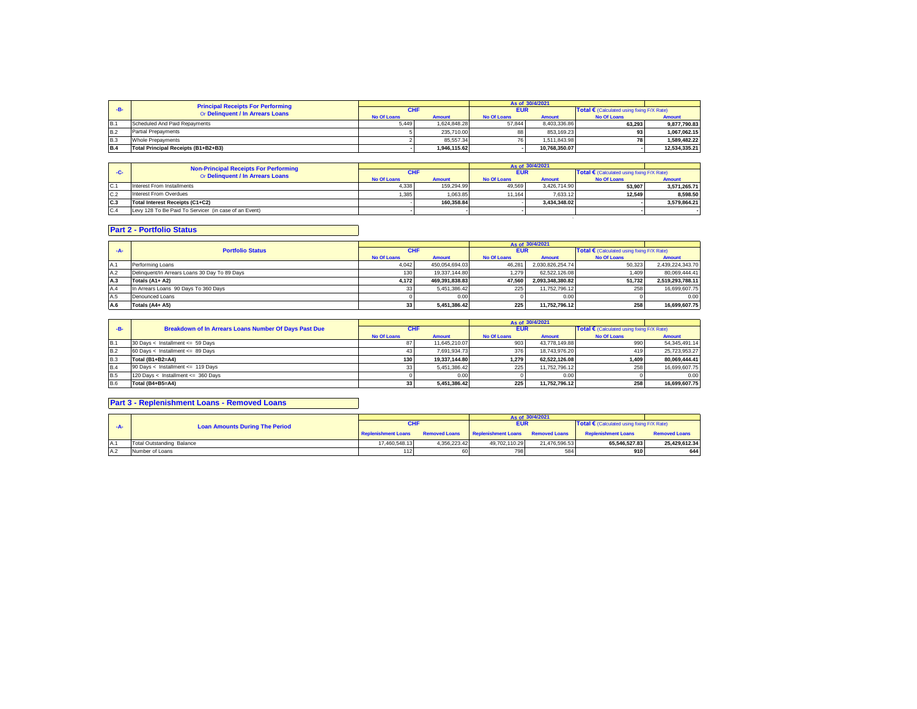|            | <b>Principal Receipts For Performing</b><br>Or Delinquent / In Arrears Loans |                    |               |                    | As of 30/4/2021 |                    |                                            |  |
|------------|------------------------------------------------------------------------------|--------------------|---------------|--------------------|-----------------|--------------------|--------------------------------------------|--|
| -R-        |                                                                              | <b>CHF</b>         |               | <b>EUR</b>         |                 |                    | Total € (Calculated using fixing F/X Rate) |  |
|            |                                                                              | <b>No Of Loans</b> | <b>Amount</b> | <b>No Of Loans</b> | <b>Amount</b>   | <b>No Of Loans</b> | <b>Amount</b>                              |  |
| B.1        | Scheduled And Paid Repayments                                                | 5.449              | 1.624.848.28  | 57.844             | 8.403.336.86    | 63.293             | 9.877.790.83                               |  |
| <b>B.2</b> | <b>Partial Prepayments</b>                                                   |                    | 235.710.00    | 88                 | 853.169.23      | 93                 | 1.067.062.15                               |  |
| IB.3       | Whole Prepayments                                                            |                    | 85.557.34     | 76                 | 1.511.843.98    | 78                 | 1.589.482.22                               |  |
| IB.4       | Total Principal Receipts (B1+B2+B3)                                          |                    | 1.946.115.62  |                    | 10.768.350.07   |                    | 12.534.335.21                              |  |

|      | <b>Non-Principal Receipts For Performing</b>          |                    |               |                    | As of 30/4/2021 |                                            |               |
|------|-------------------------------------------------------|--------------------|---------------|--------------------|-----------------|--------------------------------------------|---------------|
| -C-  | Or Delinquent / In Arrears Loans                      | <b>CHF</b>         |               | <b>EUR</b>         |                 | Total € (Calculated using fixing F/X Rate) |               |
|      |                                                       | <b>No Of Loans</b> | <b>Amount</b> | <b>No Of Loans</b> | Amount          | <b>No Of Loans</b>                         | <b>Amount</b> |
| Ic.1 | Interest From Installments                            | 4,338              | 159.294.99    | 49.569             | 3.426.714.90    | 53.907                                     | 3,571,265.71  |
| C.2  | Interest From Overdues                                | 1.385              | 1.063.85      | 11.164             | 7.633.12        | 12.549                                     | 8.598.50      |
| C.3  | Total Interest Receipts (C1+C2)                       |                    | 160.358.84    |                    | 3.434.348.02    |                                            | 3.579.864.21  |
| C.4  | Levy 128 To Be Paid To Servicer (in case of an Event) |                    |               |                    |                 |                                            |               |
|      |                                                       |                    |               |                    |                 |                                            |               |

## **Part 2 - Portfolio Status**

| $-A-$ | <b>Portfolio Status</b>                       | <b>CHF</b>         |                | <b>EUR</b>         |                  | Total € (Calculated using fixing F/X Rate) |                  |
|-------|-----------------------------------------------|--------------------|----------------|--------------------|------------------|--------------------------------------------|------------------|
|       |                                               | <b>No Of Loans</b> | <b>Amount</b>  | <b>No Of Loans</b> | <b>Amount</b>    | No Of Loans                                | <b>Amount</b>    |
| A.1   | Performing Loans                              | 4.042              | 450.054.694.03 | 46.281             | 2.030.826.254.74 | 50.323                                     | 2.439.224.343.70 |
| A.2   | Delinguent/In Arrears Loans 30 Day To 89 Days | 130                | 19.337.144.80  | 1.279              | 62.522.126.08    | 1.409                                      | 80.069.444.41    |
| A.3   | Totals (A1+ A2)                               | 4.172              | 469.391.838.83 | 47.560             | 2.093.348.380.82 | 51.732                                     | 2,519,293,788.11 |
| A.4   | In Arrears Loans 90 Days To 360 Days          | 33 <sup>1</sup>    | 5.451.386.42   | 225                | 11.752.796.12    | 258                                        | 16.699.607.75    |
| A.5   | Denounced Loans                               |                    | 0.00           |                    | 0.00             |                                            | 0.00             |
| A.6   | Totals (A4+ A5)                               | 33                 | 5,451,386.42   | 225                | 11.752.796.12    | 258                                        | 16,699,607.75    |

| $-B-$      | Breakdown of In Arrears Loans Number Of Days Past Due | <b>CHF</b>         |               | <b>EUR</b>         |               | Total $\epsilon$ (Calculated using fixing F/X Rate) |               |
|------------|-------------------------------------------------------|--------------------|---------------|--------------------|---------------|-----------------------------------------------------|---------------|
|            |                                                       | <b>No Of Loans</b> | <b>Amount</b> | <b>No Of Loans</b> | <b>Amount</b> | <b>No Of Loans</b>                                  | <b>Amount</b> |
| <b>B.1</b> | 30 Days < Installment <= 59 Days                      |                    | 11.645.210.07 | 903                | 43.778.149.88 | 990                                                 | 54.345.491.14 |
| B.2        | 60 Days < Installment <= $89$ Days                    |                    | 7.691.934.73  | 376                | 18,743,976,20 | 419                                                 | 25.723.953.27 |
| B.3        | Total (B1+B2=A4)                                      | 130                | 19.337.144.80 | 1.279              | 62.522.126.08 | 1.409                                               | 80.069.444.41 |
| IB.4       | 90 Days < Installment <= 119 Days                     |                    | 5.451.386.42  | 225                | 11.752.796.12 | 258                                                 | 16.699.607.75 |
| IB.5       | 120 Days < Installment <= 360 Days                    |                    | 0.00          |                    | 0.00          |                                                     | 0.00          |
| B.6        | <b>Total (B4+B5=A4)</b>                               | 33                 | 5,451,386.42  | 225                | 11.752.796.12 | 258                                                 | 16.699.607.75 |

## **Part 3 - Replenishment Loans - Removed Loans**

|       | <b>Loan Amounts During The Period</b> |                            |                      |                            |                      | As of 30/4/2021                            |                      |  |
|-------|---------------------------------------|----------------------------|----------------------|----------------------------|----------------------|--------------------------------------------|----------------------|--|
| $-A-$ |                                       | <b>CHF</b>                 |                      | <b>EUR</b>                 |                      | Total € (Calculated using fixing F/X Rate) |                      |  |
|       |                                       | <b>Replenishment Loans</b> | <b>Removed Loans</b> | <b>Replenishment Loans</b> | <b>Removed Loans</b> | <b>Replenishment Loans</b>                 | <b>Removed Loans</b> |  |
| -lA∴  | Total Outstanding Balance             | 17.460.548.13              | 4.356.223.42         | 49.702.110.29              | 21.476.596.53        | 65.546.527.83                              | 25.429.612.34        |  |
| A.2   | Number of Loans                       | 1121                       | 60 I                 | 798                        | 584                  | 910                                        | 644                  |  |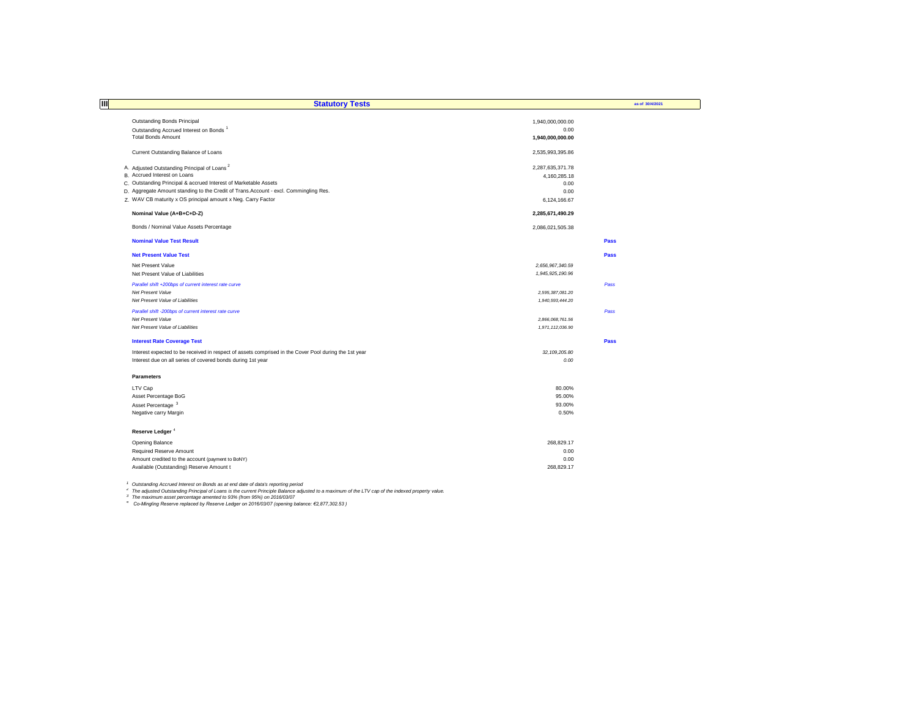| III | <b>Statutory Tests</b>                                                                                |                          | as of 30/4/2021 |
|-----|-------------------------------------------------------------------------------------------------------|--------------------------|-----------------|
|     |                                                                                                       |                          |                 |
|     | <b>Outstanding Bonds Principal</b>                                                                    | 1,940,000,000.00<br>0.00 |                 |
|     | Outstanding Accrued Interest on Bonds <sup>1</sup><br><b>Total Bonds Amount</b>                       | 1,940,000,000.00         |                 |
|     |                                                                                                       |                          |                 |
|     | Current Outstanding Balance of Loans                                                                  | 2,535,993,395.86         |                 |
|     | A. Adjusted Outstanding Principal of Loans <sup>2</sup>                                               | 2,287,635,371.78         |                 |
|     | B. Accrued Interest on Loans                                                                          | 4,160,285.18             |                 |
|     | C. Outstanding Principal & accrued Interest of Marketable Assets                                      | 0.00                     |                 |
|     | D. Aggregate Amount standing to the Credit of Trans. Account - excl. Commingling Res.                 | 0.00                     |                 |
|     | Z. WAV CB maturity x OS principal amount x Neg. Carry Factor                                          | 6,124,166.67             |                 |
|     | Nominal Value (A+B+C+D-Z)                                                                             | 2,285,671,490.29         |                 |
|     | Bonds / Nominal Value Assets Percentage                                                               | 2,086,021,505.38         |                 |
|     | <b>Nominal Value Test Result</b>                                                                      |                          | Pass            |
|     | <b>Net Present Value Test</b>                                                                         |                          | Pass            |
|     | Net Present Value                                                                                     | 2,656,967,340.59         |                 |
|     | Net Present Value of Liabilities                                                                      | 1,945,925,190.96         |                 |
|     | Parallel shift +200bps of current interest rate curve                                                 |                          | Pass            |
|     | Net Present Value                                                                                     | 2,595,387,081.20         |                 |
|     | Net Present Value of Liabilities                                                                      | 1,940,593,444.20         |                 |
|     | Parallel shift -200bps of current interest rate curve                                                 |                          | Pass            |
|     | Net Present Value                                                                                     | 2,866,068,761.56         |                 |
|     | Net Present Value of Liabilities                                                                      | 1,971,112,036.90         |                 |
|     | <b>Interest Rate Coverage Test</b>                                                                    |                          | Pass            |
|     | Interest expected to be received in respect of assets comprised in the Cover Pool during the 1st year | 32, 109, 205.80          |                 |
|     | Interest due on all series of covered bonds during 1st year                                           | 0.00                     |                 |
|     | <b>Parameters</b>                                                                                     |                          |                 |
|     | LTV Cap                                                                                               | 80.00%                   |                 |
|     | Asset Percentage BoG                                                                                  | 95.00%                   |                 |
|     | Asset Percentage <sup>3</sup>                                                                         | 93.00%                   |                 |
|     | Negative carry Margin                                                                                 | 0.50%                    |                 |
|     | Reserve Ledger <sup>4</sup>                                                                           |                          |                 |
|     | Opening Balance                                                                                       | 268,829.17               |                 |
|     | Required Reserve Amount                                                                               | 0.00                     |                 |
|     | Amount credited to the account (payment to BoNY)                                                      | 0.00                     |                 |
|     | Available (Outstanding) Reserve Amount t                                                              | 268,829.17               |                 |

<sup>1</sup> Outstanding Accrued Interest on Bonds as at end date of data's reporting period<br><sup>2</sup> The adjusted Outstanding Principal of Loans is the current Principle Balance adjusted to a maximum of the LTV cap of the indexed prope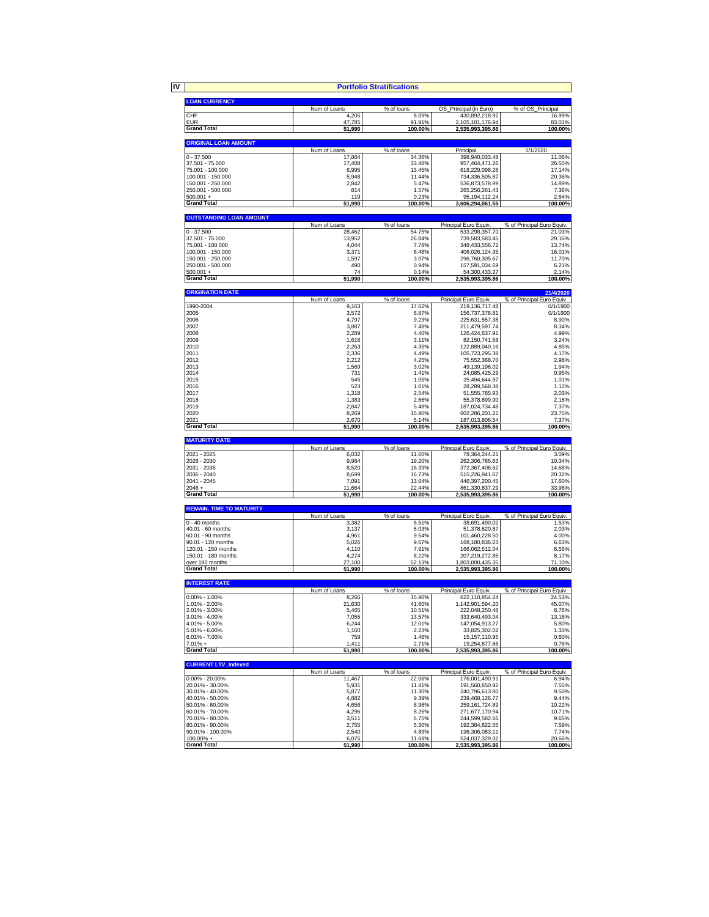|                      |              | <b>Portfolio Stratifications</b> |                        |                   |
|----------------------|--------------|----------------------------------|------------------------|-------------------|
|                      |              |                                  |                        |                   |
| <b>LOAN CURRENCY</b> |              |                                  |                        |                   |
|                      | Num of Loans | % of loans                       | OS Principal (in Euro) | % of OS Principal |
| CHF                  | 4,205        | 8.09%                            | 430.892.218.92         | 16.99%            |
| <b>EUR</b>           | 47.785       | 91.91%                           | 2.105.101.176.94       | 83.01%            |
| <b>Grand Total</b>   | 51.990       | 100.00%                          | 2.535.993.395.86       | 100.00%           |

| <b>ORIGINAL LOAN AMOUNT</b> |              |            |                  |          |
|-----------------------------|--------------|------------|------------------|----------|
|                             | Num of Loans | % of loans | Principal        | 1/1/2020 |
| 0 - 37.500                  | 17.864       | 34.36%     | 398.940.033.48   | 11.06%   |
| 37.501 - 75.000             | 17.408       | 33.48%     | 957.464.471.26   | 26.55%   |
| 75.001 - 100.000            | 6.995        | 13.45%     | 618.229.098.28   | 17.14%   |
| 100.001 - 150.000           | 5.948        | 11.44%     | 734.336.505.87   | 20.36%   |
| 150.001 - 250.000           | 2.842        | 5.47%      | 536.873.578.99   | 14.89%   |
| 250.001 - 500.000           | 814          | 1.57%      | 265.256.261.43   | 7.36%    |
| $500.001 +$                 | 119          | 0.23%      | 95.194.112.24    | 2.64%    |
| <b>Grand Total</b>          | 51,990       | 100.00%    | 3.606.294.061.55 | 100.00%  |

| <b>OUTSTANDING LOAN AMOUNT</b> |              |            |                       |                            |
|--------------------------------|--------------|------------|-----------------------|----------------------------|
|                                | Num of Loans | % of loans | Principal Euro Equiv. | % of Principal Euro Equiv. |
| $0 - 37.500$                   | 28.462       | 54.75%     | 533.298.357.70        | 21.03%                     |
| 37.501 - 75.000                | 13.952       | 26.84%     | 739.583.583.45        | 29.16%                     |
| 75.001 - 100.000               | 4.044        | 7.78%      | 348.433.556.72        | 13.74%                     |
| 100.001 - 150.000              | 3.371        | 6.48%      | 406.026.124.35        | 16.01%                     |
| 150.001 - 250.000              | 1.597        | 3.07%      | 296.760.305.67        | 11.70%                     |
| 250.001 - 500.000              | 490          | 0.94%      | 157.591.034.69        | 6.21%                      |
| $500.001 +$                    | 74           | 0.14%      | 54.300.433.27         | 2.14%                      |
| <b>Grand Total</b>             | 51.990       | 100.00%    | 2.535.993.395.86      | 100.00%                    |

| <b>ORIGINATION DATE</b><br>21/4/2020 |              |            |                       |                            |
|--------------------------------------|--------------|------------|-----------------------|----------------------------|
|                                      | Num of Loans | % of loans | Principal Euro Equiv. | % of Principal Euro Equiv. |
| 1990-2004                            | 9,163        | 17.62%     | 219, 136, 717. 48     | 0/1/1900                   |
| 2005                                 | 3,572        | 6.87%      | 156,737,376.81        | 0/1/1900                   |
| 2006                                 | 4.797        | 9.23%      | 225.631.557.38        | 8.90%                      |
| 2007                                 | 3.887        | 7.48%      | 211.479.597.74        | 8.34%                      |
| 2008                                 | 2,289        | 4.40%      | 126,424,637.91        | 4.99%                      |
| 2009                                 | 1.616        | 3.11%      | 82.150.741.58         | 3.24%                      |
| 2010                                 | 2.263        | 4.35%      | 122.889.040.16        | 4.85%                      |
| 2011                                 | 2,336        | 4.49%      | 105,723,295.38        | 4.17%                      |
| 2012                                 | 2.212        | 4.25%      | 75.552.368.70         | 2.98%                      |
| 2013                                 | 1,569        | 3.02%      | 49.139.196.02         | 1.94%                      |
| 2014                                 | 731          | 1.41%      | 24,085,425.29         | 0.95%                      |
| 2015                                 | 545          | 1.05%      | 25.494.644.97         | 1.01%                      |
| 2016                                 | 523          | 1.01%      | 28,289,568.38         | 1.12%                      |
| 2017                                 | 1.318        | 2.54%      | 51.555.785.93         | 2.03%                      |
| 2018                                 | 1.383        | 2.66%      | 55.378.699.90         | 2.18%                      |
| 2019                                 | 2,847        | 5.48%      | 187,024,734.48        | 7.37%                      |
| 2020                                 | 8,269        | 15.90%     | 602.286.201.21        | 23.75%                     |
| 2021                                 | 2.670        | 5.14%      | 187,013,806.54        | 7.37%                      |
| <b>Grand Total</b>                   | 51,990       | 100.00%    | 2,535,993,395.86      | 100.00%                    |

| <b>MATURITY DATE</b> |              |            |                       |                            |
|----------------------|--------------|------------|-----------------------|----------------------------|
|                      | Num of Loans | % of loans | Principal Euro Equiv. | % of Principal Euro Equiv. |
| 2021 - 2025          | 6.032        | 11.60%     | 78.364.244.21         | 3.09%                      |
| 2026 - 2030          | 9.984        | 19.20%     | 262.306.765.63        | 10.34%                     |
| 2031 - 2035          | 8.520        | 16.39%     | 372.367.406.62        | 14.68%                     |
| 2036 - 2040          | 8.699        | 16.73%     | 515.226.941.67        | 20.32%                     |
| 2041 - 2045          | 7.091        | 13.64%     | 446.397.200.45        | 17.60%                     |
| $2046 +$             | 11.664       | 22.44%     | 861.330.837.29        | 33.96%                     |
| <b>Grand Total</b>   | 51.990       | 100.00%    | 2.535.993.395.86      | 100.00%                    |

| <b>REMAIN, TIME TO MATURITY</b> |              |            |                       |                            |
|---------------------------------|--------------|------------|-----------------------|----------------------------|
|                                 | Num of Loans | % of loans | Principal Euro Equiv. | % of Principal Euro Equiv. |
| $0 - 40$ months                 | 3.382        | 6.51%      | 38.691.490.02         | 1.53%                      |
| $40.01 - 60$ months             | 3.137        | 6.03%      | 51.378.620.87         | 2.03%                      |
| 60.01 - 90 months               | 4.961        | 9.54%      | 101.460.228.50        | 4.00%                      |
| 90.01 - 120 months              | 5.026        | 9.67%      | 168.180.836.23        | 6.63%                      |
| 120.01 - 150 months             | 4.110        | 7.91%      | 166.062.512.04        | 6.55%                      |
| 150.01 - 180 months             | 4.274        | 8.22%      | 207.219.272.85        | 8.17%                      |
| over 180 months                 | 27.100       | 52.13%     | 1.803.000.435.35      | 71.10%                     |
| <b>Grand Total</b>              | 51.990       | 100.00%    | 2.535.993.395.86      | 100.00%                    |

| <b>INTEREST RATE</b> |              |            |                       |                            |
|----------------------|--------------|------------|-----------------------|----------------------------|
|                      | Num of Loans | % of loans | Principal Euro Equiv. | % of Principal Euro Equiv. |
| $0.00\% - 1.00\%$    | 8.266        | 15.90%     | 622.110.854.24        | 24.53%                     |
| 1.01% - 2.00%        | 21.630       | 41.60%     | 1.142.901.594.20      | 45.07%                     |
| 2.01% - 3.00%        | 5.465        | 10.51%     | 222.048.250.48        | 8.76%                      |
| 3.01% - 4.00%        | 7.055        | 13.57%     | 333.640.493.04        | 13.16%                     |
| 4.01% - 5.00%        | 6.244        | 12.01%     | 147.054.913.27        | 5.80%                      |
| 5.01% - 6.00%        | 1.160        | 2.23%      | 33.825.302.02         | 1.33%                      |
| 6.01% - 7.00%        | 759          | 1.46%      | 15.157.110.95         | 0.60%                      |
| $7.01% +$            | 1.411        | 2.71%      | 19.254.877.66         | 0.76%                      |
| <b>Grand Total</b>   | 51,990       | 100.00%    | 2.535.993.395.86      | 100.00%                    |

| <b>CURRENT LTV Indexed</b> |              |            |                       |                            |
|----------------------------|--------------|------------|-----------------------|----------------------------|
|                            | Num of Loans | % of loans | Principal Euro Equiv. | % of Principal Euro Equiv. |
| $0.00\% - 20.00\%$         | 11.467       | 22.06%     | 176.001.490.91        | 6.94%                      |
| 20.01% - 30.00%            | 5.931        | 11.41%     | 191.560.650.92        | 7.55%                      |
| 30.01% - 40.00%            | 5.877        | 11.30%     | 240.796.613.80        | 9.50%                      |
| 40.01% - 50.00%            | 4.882        | 9.39%      | 239.468.126.77        | 9.44%                      |
| 50.01% - 60.00%            | 4.656        | 8.96%      | 259.161.724.89        | 10.22%                     |
| 60.01% - 70.00%            | 4,296        | 8.26%      | 271.677.170.94        | 10.71%                     |
| 70.01% - 80.00%            | 3.511        | 6.75%      | 244.599.582.66        | 9.65%                      |
| 80.01% - 90.00%            | 2.755        | 5.30%      | 192.384.622.55        | 7.59%                      |
| 90.01% - 100.00%           | 2.540        | 4.89%      | 196.306.083.11        | 7.74%                      |
| $100.00\% +$               | 6.075        | 11.68%     | 524.037.329.32        | 20.66%                     |
| <b>Grand Total</b>         | 51,990       | 100.00%    | 2.535.993.395.86      | 100.00%                    |

**IV**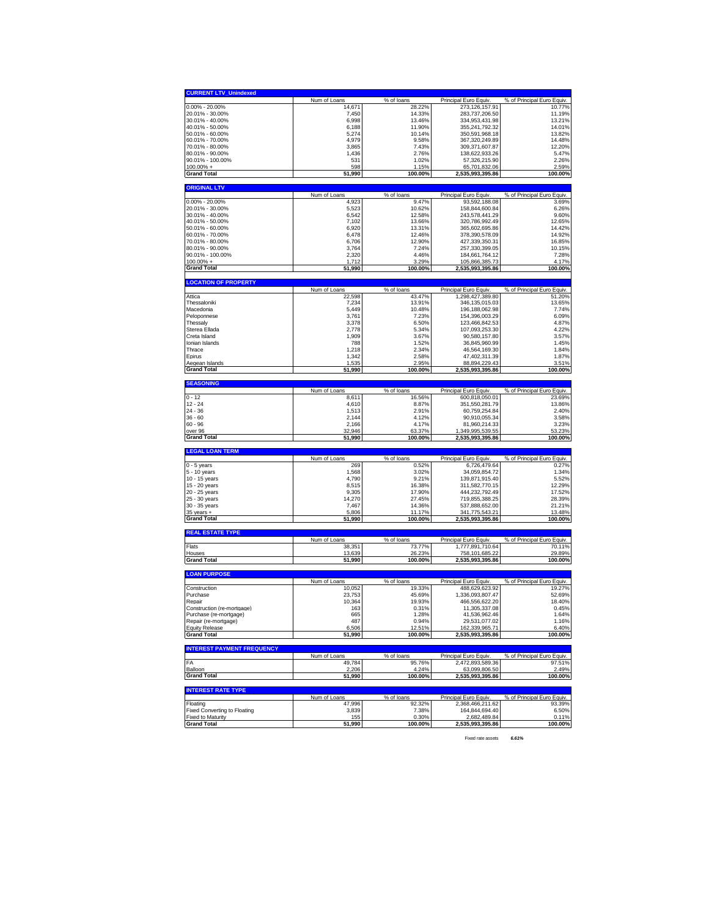| <b>CURRENT LTV Unindexed</b>                             |                        |                   |                                    |                            |
|----------------------------------------------------------|------------------------|-------------------|------------------------------------|----------------------------|
|                                                          | Num of Loans           | % of loans        | Principal Euro Equiv.              | % of Principal Euro Equiv. |
| $0.00\% - 20.00\%$                                       | 14,671                 | 28.22%            | 273,126,157.91                     | 10.77%                     |
|                                                          |                        |                   |                                    |                            |
| 20.01% - 30.00%                                          | 7,450                  | 14.33%<br>13.46%  | 283,737,206.50                     | 11.19%<br>13.21%           |
| 30.01% - 40.00%                                          | 6,998                  |                   | 334,953,431.98                     |                            |
| 40.01% - 50.00%                                          | 6,188                  | 11.90%            | 355,241,792.32                     | 14.01%                     |
| 50.01% - 60.00%                                          | 5,274                  | 10.14%            | 350,591,968.18                     | 13.82%                     |
| 60.01% - 70.00%                                          | 4,979                  | 9.58%             | 367,320,249.89                     | 14.48%                     |
| 70.01% - 80.00%                                          | 3,865                  | 7.43%             | 309,371,607.87                     | 12.20%                     |
| 80.01% - 90.00%                                          | 1,436                  | 2.76%             | 138,622,933.26                     | 5.47%                      |
| 90.01% - 100.00%                                         | 531                    | 1.02%             | 57,326,215.90                      | 2.26%                      |
| 100.00% +                                                | 598                    | 1.15%             | 65,701,832.06                      | 2.59%                      |
| <b>Grand Total</b>                                       | 51,990                 | 100.00%           | 2,535,993,395.86                   | 100.00%                    |
|                                                          |                        |                   |                                    |                            |
| <b>ORIGINAL LTV</b>                                      |                        |                   |                                    |                            |
|                                                          | Num of Loans           | % of loans        | Principal Euro Equiv.              | % of Principal Euro Equiv. |
| $0.00\% - 20.00\%$                                       | 4,923                  | 9.47%             | 93,592,188.08                      | 3.69%                      |
| 20.01% - 30.00%                                          | 5,523                  | 10.62%            | 158,844,600.84                     | 6.26%                      |
| 30.01% - 40.00%                                          | 6,542                  | 12.58%            | 243,578,441.29                     | 9.60%                      |
| 40.01% - 50.00%                                          | 7,102                  | 13.66%            | 320,786,992.49                     | 12.65%                     |
| 50.01% - 60.00%                                          | 6,920                  | 13.31%            | 365,602,695.86                     | 14.42%                     |
| 60.01% - 70.00%                                          | 6,478                  | 12.46%            | 378,390,578.09                     | 14.92%                     |
| 70.01% - 80.00%                                          | 6,706                  | 12.90%            | 427,339,350.31                     | 16.85%                     |
| 80.01% - 90.00%                                          | 3,764                  | 7.24%             | 257,330,399.05                     | 10.15%                     |
| 90.01% - 100.00%                                         | 2.320                  | 4.46%             | 184,661,764.12                     | 7.28%                      |
| $100.00\% +$                                             | 1.712                  | 3.29%             | 105,866,385.73                     | 4.17%                      |
|                                                          |                        |                   |                                    |                            |
| <b>Grand Total</b>                                       | 51,990                 | 100.00%           | 2,535,993,395.86                   | 100.00%                    |
| <b>LOCATION OF PROPERTY</b>                              |                        |                   |                                    |                            |
|                                                          | Num of Loans           | % of loans        | Principal Euro Equiv.              | % of Principal Euro Equiv. |
| Attica                                                   | 22,598                 | 43.47%            | 1,298,427,389.80                   | 51.20%                     |
| Thessaloniki                                             | 7,234                  | 13.91%            | 346,135,015.03                     | 13.65%                     |
| Macedonia                                                | 5,449                  | 10.48%            | 196,188,062.98                     | 7.74%                      |
| Peloponnese                                              |                        |                   |                                    |                            |
|                                                          | 3,761                  | 7.23%             | 154,396,003.29                     | 6.09%                      |
| Thessalv                                                 | 3,378                  | 6.50%             | 123,466,842.53                     | 4.87%                      |
| Sterea Ellada                                            | 2.778                  | 5.34%             | 107,093,253.30                     | 4.22%                      |
| Creta Island                                             | 1,909                  | 3.67%             | 90,580,157.80                      | 3.57%                      |
| Ionian Islands                                           | 788                    | 1.52%             | 36,845,960.99                      | 1.45%                      |
| Thrace                                                   | 1,218                  | 2.34%             | 46,564,169.30                      | 1.84%                      |
| Epirus                                                   | 1,342                  | 2.58%             | 47,402,311.39                      | 1.87%                      |
| Aegean Islands                                           | 1,535                  | 2.95%             | 88,894,229.43                      | 3.51%                      |
| <b>Grand Total</b>                                       | 51,990                 | 100.00%           | 2,535,993,395.86                   | 100.00%                    |
|                                                          |                        |                   |                                    |                            |
| <b>SEASONING</b>                                         |                        |                   |                                    |                            |
|                                                          | Num of Loans           | % of loans        | Principal Euro Equiv.              | % of Principal Euro Equiv. |
| $0 - 12$                                                 |                        |                   |                                    |                            |
|                                                          | 8,611                  | 16.56%            | 600,818,050.01                     | 23.69%                     |
| $12 - 24$                                                | 4,610                  | 8.87%             | 351,550,281.79                     | 13.86%                     |
| 24 - 36                                                  | 1.513                  | 2.91%             | 60,759,254.84                      | 2.40%                      |
| 36 - 60                                                  | 2,144                  | 4.12%             | 90,910,055.34                      | 3.58%                      |
| 60 - 96                                                  |                        |                   |                                    |                            |
|                                                          | 2,166                  | 4.17%             | 81,960,214.33                      | 3.23%                      |
| over 96                                                  | 32,946                 | 63.37%            | 1,349,995,539.55                   | 53.23%                     |
| Grand Total                                              | 51,990                 | 100.00%           | 2,535,993,395.86                   | 100.00%                    |
| <b>LEGAL LOAN TERM</b>                                   |                        |                   |                                    |                            |
|                                                          | Num of Loans           | % of loans        | Principal Euro Equiv.              | % of Principal Euro Equiv. |
| 0 - 5 years                                              | 269                    | 0.52%             | 6,726,479.64                       | 0.27%                      |
| 5 - 10 years                                             | 1,568                  | 3.02%             | 34,059,854.72                      | 1.34%                      |
| 10 - 15 years                                            | 4,790                  | 9.21%             | 139,871,915.40                     | 5.52%                      |
| 15 - 20 years                                            | 8,515                  | 16.38%            | 311,582,770.15                     | 12.29%                     |
| 20 - 25 years                                            | 9,305                  | 17.90%            | 444,232,792.49                     | 17.52%                     |
| 25 - 30 years                                            | 14,270                 | 27.45%            | 719,855,388.25                     | 28.39%                     |
| 30 - 35 years                                            | 7,467                  | 14.36%            | 537,888,652.00                     | 21.21%                     |
|                                                          |                        |                   |                                    |                            |
| 35 years +<br><b>Grand Total</b>                         | 5,806<br>51,990        | 11.17%<br>100.00% | 341,775,543.21<br>2,535,993,395.86 | 13.48%<br>100.00%          |
|                                                          |                        |                   |                                    |                            |
| <b>REAL ESTATE TYPE</b>                                  |                        |                   |                                    |                            |
|                                                          | Num of Loans           | % of loans        | Principal Euro Equiv.              | % of Principal Euro Equiv. |
| Flats                                                    | 38,351                 | 73.77%            | 1,777,891,710.64                   | 70.11%                     |
| Houses                                                   | 13.639                 | 26.23%            | 758.101.685.22                     | 29.89%                     |
| <b>Grand Total</b>                                       | 51,990                 | 100.00%           | 2,535,993,395.86                   | 100.00%                    |
| <b>LOAN PURPOSE</b>                                      |                        |                   |                                    |                            |
|                                                          | Num of Loans           | % of loans        | Principal Euro Equiv.              | % of Principal Euro Equiv. |
| Construction                                             | 10,052                 | 19.33%            | 488,629,623.92                     | 19.27%                     |
| Purchase                                                 | 23,753                 | 45.69%            | 1,336,093,807.47                   | 52.69%                     |
| Repair                                                   | 10,364                 | 19.93%            | 466,556,622.20                     | 18.40%                     |
| Construction (re-mortgage)                               | 163                    | 0.31%             | 11.305.337.08                      | 0.45%                      |
|                                                          |                        |                   |                                    |                            |
| Purchase (re-mortgage)                                   | 665                    | 1.28%             | 41,536,962.46                      | 1.64%                      |
| Repair (re-mortgage)                                     | 487                    | 0.94%             | 29,531,077.02                      | 1.16%                      |
| <b>Equity Release</b><br><b>Grand Total</b>              | 6,506<br>51,990        | 12.51%<br>100.00% | 162,339,965.71<br>2,535,993,395.86 | 6.40%<br>100.00%           |
|                                                          |                        |                   |                                    |                            |
| <b>INTEREST PAYMENT FREQUENCY</b>                        |                        |                   |                                    |                            |
|                                                          | Num of Loans           | % of loans        | Principal Euro Equiv.              | % of Principal Euro Equiv. |
| FA                                                       | 49.784                 | 95.76%            | 2,472,893,589.36                   | 97.51%                     |
| Balloon                                                  | 2,206                  | 4.24%             | 63,099,806.50                      | 2.49%                      |
| Grand Total                                              | 51,990                 | 100.00%           | 2,535,993,395.86                   | 100.00%                    |
|                                                          |                        |                   |                                    |                            |
| <b>INTEREST RATE TYPE</b>                                |                        |                   |                                    |                            |
| Floating                                                 | Num of Loans<br>47,996 | % of loans        | Principal Euro Equiv.              | % of Principal Euro Equiv. |
|                                                          |                        | 92.32%            | 2,368,466,211.62                   | 93.39%                     |
| Fixed Converting to Floating<br><b>Fixed to Maturity</b> | 3,839<br>155           | 7.38%<br>0.30%    | 164,844,694.40<br>2,682,489.84     | 6.50%<br>0.11%             |

Fixed rate assets *6.61%*